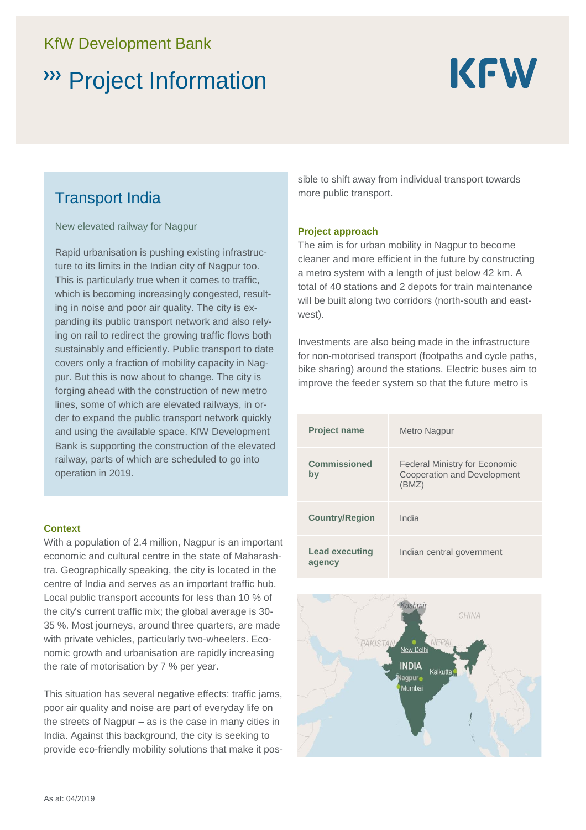# KfW Development Bank

# Project Information



## Transport India

New elevated railway for Nagpur

Rapid urbanisation is pushing existing infrastructure to its limits in the Indian city of Nagpur too. This is particularly true when it comes to traffic, which is becoming increasingly congested, resulting in noise and poor air quality. The city is expanding its public transport network and also relying on rail to redirect the growing traffic flows both sustainably and efficiently. Public transport to date covers only a fraction of mobility capacity in Nagpur. But this is now about to change. The city is forging ahead with the construction of new metro lines, some of which are elevated railways, in order to expand the public transport network quickly and using the available space. KfW Development Bank is supporting the construction of the elevated railway, parts of which are scheduled to go into operation in 2019.

#### **Context**

With a population of 2.4 million, Nagpur is an important economic and cultural centre in the state of Maharashtra. Geographically speaking, the city is located in the centre of India and serves as an important traffic hub. Local public transport accounts for less than 10 % of the city's current traffic mix; the global average is 30- 35 %. Most journeys, around three quarters, are made with private vehicles, particularly two-wheelers. Economic growth and urbanisation are rapidly increasing the rate of motorisation by 7 % per year.

This situation has several negative effects: traffic jams, poor air quality and noise are part of everyday life on the streets of Nagpur – as is the case in many cities in India. Against this background, the city is seeking to provide eco-friendly mobility solutions that make it possible to shift away from individual transport towards more public transport.

#### **Project approach**

The aim is for urban mobility in Nagpur to become cleaner and more efficient in the future by constructing a metro system with a length of just below 42 km. A total of 40 stations and 2 depots for train maintenance will be built along two corridors (north-south and eastwest).

Investments are also being made in the infrastructure for non-motorised transport (footpaths and cycle paths, bike sharing) around the stations. Electric buses aim to improve the feeder system so that the future metro is

| <b>Project name</b>             | Metro Nagpur                                                                 |
|---------------------------------|------------------------------------------------------------------------------|
| <b>Commissioned</b><br>by       | <b>Federal Ministry for Economic</b><br>Cooperation and Development<br>(BMZ) |
| <b>Country/Region</b>           | India                                                                        |
| <b>Lead executing</b><br>agency | Indian central government                                                    |